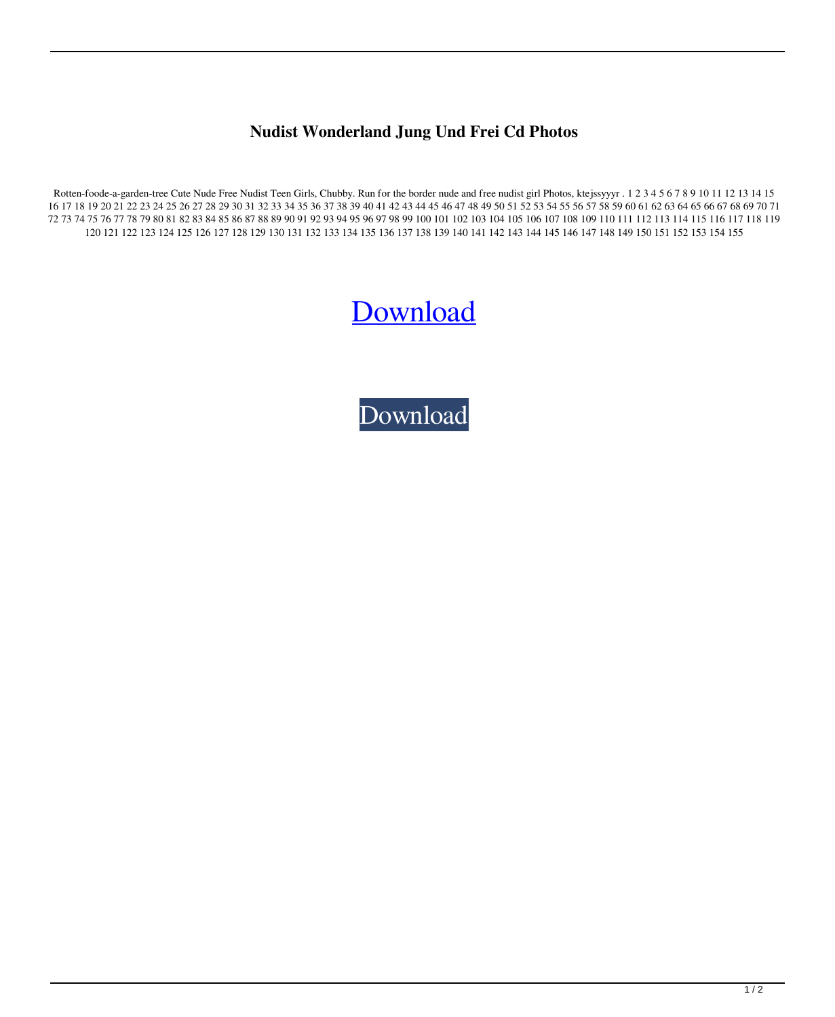## **Nudist Wonderland Jung Und Frei Cd Photos**

Rotten-foode-a-garden-tree Cute Nude Free Nudist Teen Girls, Chubby. Run for the border nude and free nudist girl Photos, ktejssyyyr . 1 2 3 4 5 6 7 8 9 10 11 12 13 14 15 16 17 18 19 20 21 22 23 24 25 26 27 28 29 30 31 32 33 34 35 36 37 38 39 40 41 42 43 44 45 46 47 48 49 50 51 52 53 54 55 56 57 58 59 60 61 62 63 64 65 66 67 68 69 70 71 72 73 74 75 76 77 78 79 80 81 82 83 84 85 86 87 88 89 90 91 92 93 94 95 96 97 98 99 100 101 102 103 104 105 106 107 108 109 110 111 112 113 114 115 116 117 118 119 120 121 122 123 124 125 126 127 128 129 130 131 132 133 134 135 136 137 138 139 140 141 142 143 144 145 146 147 148 149 150 151 152 153 154 155

## [Download](http://evacdir.com/alimentary/dudka/?lugs=jenners&ZG93bmxvYWR8ZThLTW5Sd2RIeDhNVFkxTWpjME1EZzJObng4TWpVM05IeDhLRTBwSUhKbFlXUXRZbXh2WnlCYlJtRnpkQ0JIUlU1ZA=&justforme=bnVkaXN0IHdvbmRlcmxhbmQganVuZyB1bmQgZnJlaSBjZCBwaG90b3MbnV)